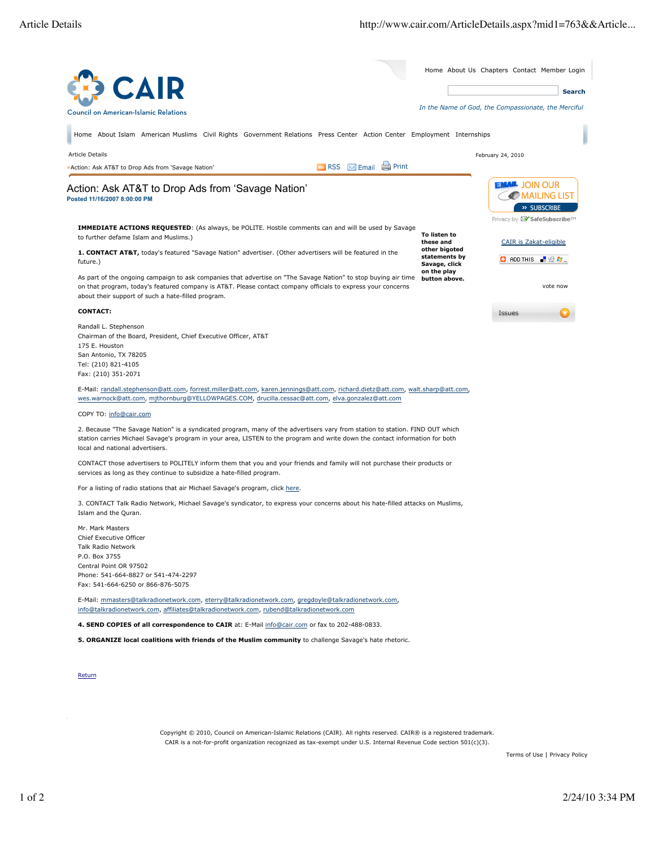

Copyright © 2010, Council on American-Islamic Relations (CAIR). All rights reserved. CAIR® is a registered trademark. CAIR is a not-for-profit organization recognized as tax-exempt under U.S. Internal Revenue Code section 501(c)(3).

Terms of Use | Privacy Policy